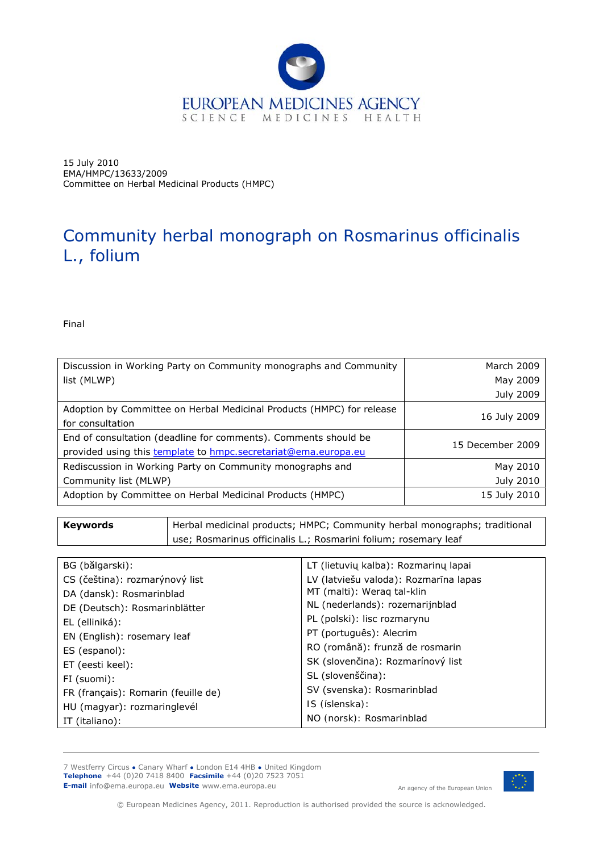

15 July 2010 EMA/HMPC/13633/2009 Committee on Herbal Medicinal Products (HMPC)

# Community herbal monograph on *Rosmarinus officinalis*  L., folium

Final

| Discussion in Working Party on Community monographs and Community                                                                 | March 2009       |
|-----------------------------------------------------------------------------------------------------------------------------------|------------------|
| list (MLWP)                                                                                                                       | May 2009         |
|                                                                                                                                   | <b>July 2009</b> |
| Adoption by Committee on Herbal Medicinal Products (HMPC) for release<br>for consultation                                         | 16 July 2009     |
| End of consultation (deadline for comments). Comments should be<br>provided using this template to hmpc.secretariat@ema.europa.eu | 15 December 2009 |
| Rediscussion in Working Party on Community monographs and                                                                         | May 2010         |
| Community list (MLWP)                                                                                                             | July 2010        |
| Adoption by Committee on Herbal Medicinal Products (HMPC)                                                                         | 15 July 2010     |

| Keywords | Herbal medicinal products; HMPC; Community herbal monographs; traditional |
|----------|---------------------------------------------------------------------------|
|          | use; Rosmarinus officinalis L.; Rosmarini folium; rosemary leaf           |
|          |                                                                           |

| BG (bălgarski):                     | LT (lietuvių kalba): Rozmarinų lapai  |
|-------------------------------------|---------------------------------------|
| CS (čeština): rozmarýnový list      | LV (latviešu valoda): Rozmarīna lapas |
| DA (dansk): Rosmarinblad            | MT (malti): Weraq tal-klin            |
| DE (Deutsch): Rosmarinblätter       | NL (nederlands): rozemarijnblad       |
| EL (elliniká):                      | PL (polski): lisc rozmarynu           |
| EN (English): rosemary leaf         | PT (português): Alecrim               |
| ES (espanol):                       | RO (română): frunză de rosmarin       |
| ET (eesti keel):                    | SK (slovenčina): Rozmarínový list     |
| FI (suomi):                         | SL (slovenščina):                     |
| FR (français): Romarin (feuille de) | SV (svenska): Rosmarinblad            |
| HU (magyar): rozmaringlevél         | IS (íslenska):                        |
| IT (italiano):                      | NO (norsk): Rosmarinblad              |

7 Westferry Circus **●** Canary Wharf **●** London E14 4HB **●** United Kingdom **Telephone** +44 (0)20 7418 8400 **Facsimile** +44 (0)20 7523 7051

**E-mail** info@ema.europa.eu **Website** www.ema.europa.eu An agency of the European Union



© European Medicines Agency, 2011. Reproduction is authorised provided the source is acknowledged.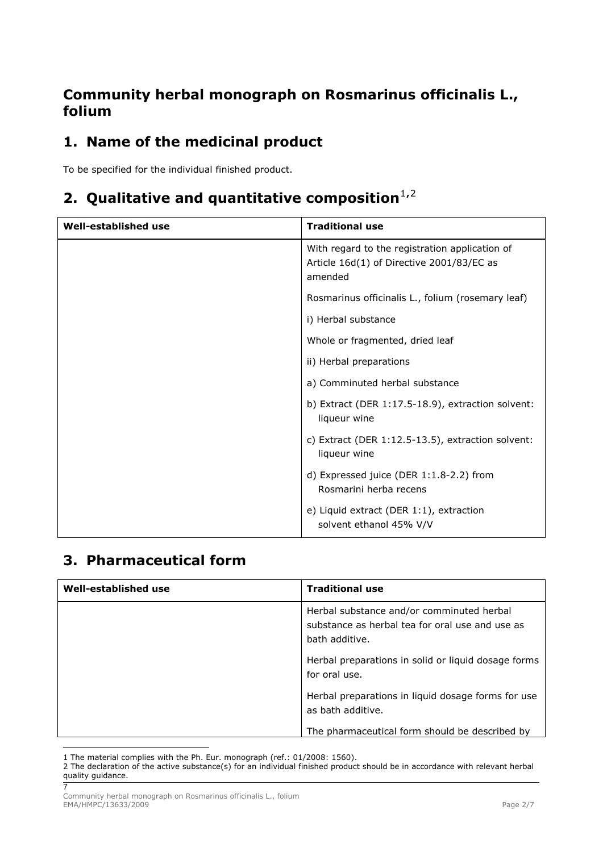## **Community herbal monograph on** *Rosmarinus officinalis* **L., folium**

## **1. Name of the medicinal product**

To be specified for the individual finished product.

## **[2](#page-1-1). Qualitative and quantitative composition**<sup>[1](#page-1-0),2</sup>

| Well-established use | <b>Traditional use</b>                                                                                 |
|----------------------|--------------------------------------------------------------------------------------------------------|
|                      | With regard to the registration application of<br>Article 16d(1) of Directive 2001/83/EC as<br>amended |
|                      | Rosmarinus officinalis L., folium (rosemary leaf)                                                      |
|                      | i) Herbal substance                                                                                    |
|                      | Whole or fragmented, dried leaf                                                                        |
|                      | ii) Herbal preparations                                                                                |
|                      | a) Comminuted herbal substance                                                                         |
|                      | b) Extract (DER $1:17.5-18.9$ ), extraction solvent:<br>liqueur wine                                   |
|                      | c) Extract (DER 1:12.5-13.5), extraction solvent:<br>liqueur wine                                      |
|                      | d) Expressed juice (DER 1:1.8-2.2) from<br>Rosmarini herba recens                                      |
|                      | e) Liquid extract (DER 1:1), extraction<br>solvent ethanol 45% V/V                                     |

## **3. Pharmaceutical form**

| Well-established use | <b>Traditional use</b>                                                                                         |
|----------------------|----------------------------------------------------------------------------------------------------------------|
|                      | Herbal substance and/or comminuted herbal<br>substance as herbal tea for oral use and use as<br>bath additive. |
|                      | Herbal preparations in solid or liquid dosage forms<br>for oral use.                                           |
|                      | Herbal preparations in liquid dosage forms for use<br>as bath additive.                                        |
|                      | The pharmaceutical form should be described by                                                                 |

ł 1 The material complies with the Ph. Eur. monograph (ref.: 01/2008: 1560).

<span id="page-1-1"></span><span id="page-1-0"></span> $\overline{7}$ 2 The declaration of the active substance(s) for an individual finished product should be in accordance with relevant herbal quality guidance.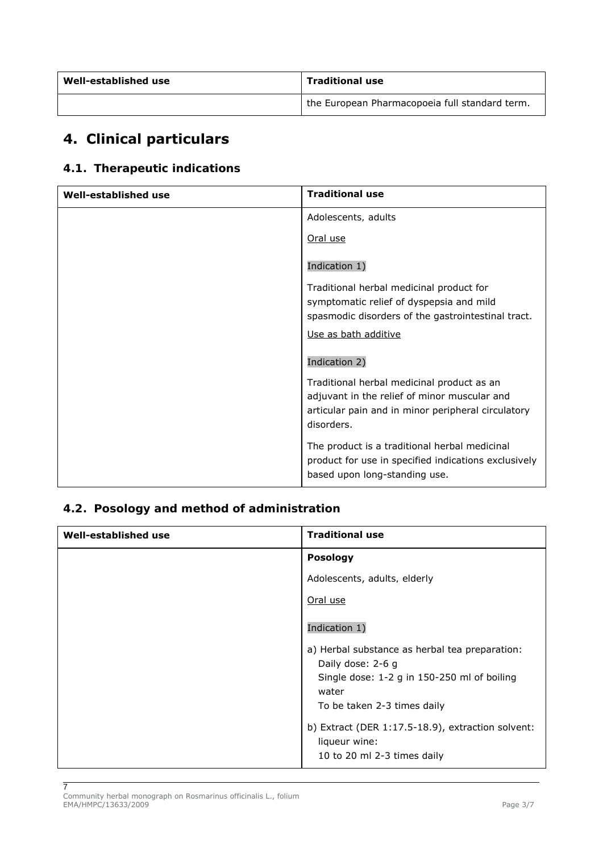| Well-established use | <b>Traditional use</b>                         |
|----------------------|------------------------------------------------|
|                      | the European Pharmacopoeia full standard term. |

## **4. Clinical particulars**

## *4.1. Therapeutic indications*

| <b>Well-established use</b> | <b>Traditional use</b>                                           |
|-----------------------------|------------------------------------------------------------------|
|                             | Adolescents, adults                                              |
|                             | Oral use                                                         |
|                             | Indication 1)                                                    |
|                             | Traditional herbal medicinal product for                         |
|                             | symptomatic relief of dyspepsia and mild                         |
|                             | spasmodic disorders of the gastrointestinal tract.               |
|                             | Use as bath additive                                             |
|                             | Indication 2)                                                    |
|                             | Traditional herbal medicinal product as an                       |
|                             | adjuvant in the relief of minor muscular and                     |
|                             | articular pain and in minor peripheral circulatory<br>disorders. |
|                             | The product is a traditional herbal medicinal                    |
|                             | product for use in specified indications exclusively             |
|                             | based upon long-standing use.                                    |

### *4.2. Posology and method of administration*

| <b>Traditional use</b>                                                                               |
|------------------------------------------------------------------------------------------------------|
| <b>Posology</b>                                                                                      |
| Adolescents, adults, elderly                                                                         |
| Oral use                                                                                             |
| Indication 1)                                                                                        |
| a) Herbal substance as herbal tea preparation:<br>Daily dose: 2-6 g                                  |
| Single dose: 1-2 g in 150-250 ml of boiling<br>water                                                 |
| To be taken 2-3 times daily                                                                          |
| b) Extract (DER $1:17.5-18.9$ ), extraction solvent:<br>liqueur wine:<br>10 to 20 ml 2-3 times daily |
|                                                                                                      |

 $\overline{7}$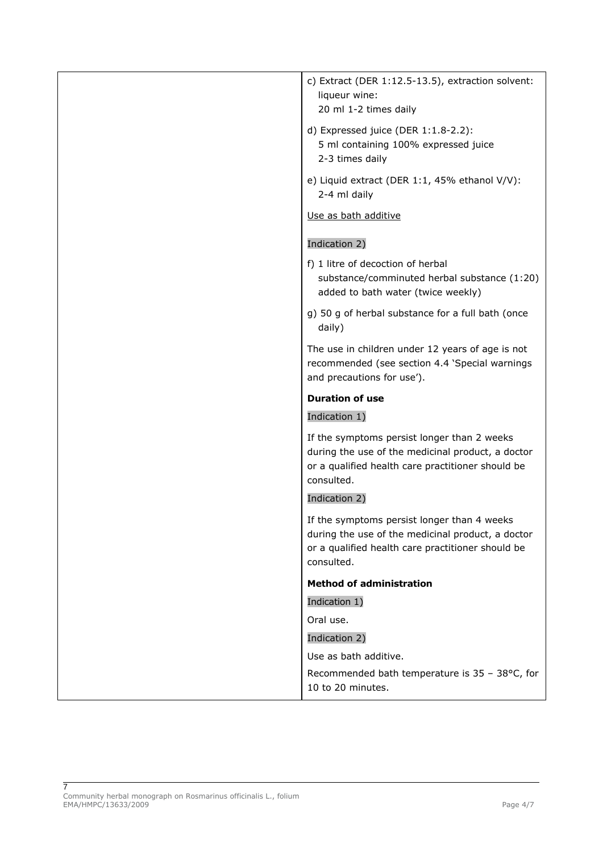| c) Extract (DER 1:12.5-13.5), extraction solvent:<br>liqueur wine:<br>20 ml 1-2 times daily                                                                         |
|---------------------------------------------------------------------------------------------------------------------------------------------------------------------|
| d) Expressed juice (DER $1:1.8-2.2$ ):<br>5 ml containing 100% expressed juice<br>2-3 times daily                                                                   |
| e) Liquid extract (DER 1:1, 45% ethanol V/V):<br>2-4 ml daily                                                                                                       |
| Use as bath additive                                                                                                                                                |
| Indication 2)                                                                                                                                                       |
| f) 1 litre of decoction of herbal<br>substance/comminuted herbal substance (1:20)<br>added to bath water (twice weekly)                                             |
| g) 50 g of herbal substance for a full bath (once<br>daily)                                                                                                         |
| The use in children under 12 years of age is not<br>recommended (see section 4.4 'Special warnings<br>and precautions for use').                                    |
|                                                                                                                                                                     |
| <b>Duration of use</b>                                                                                                                                              |
| Indication 1)                                                                                                                                                       |
| If the symptoms persist longer than 2 weeks<br>during the use of the medicinal product, a doctor<br>or a qualified health care practitioner should be<br>consulted. |
| Indication 2)                                                                                                                                                       |
| If the symptoms persist longer than 4 weeks<br>during the use of the medicinal product, a doctor<br>or a qualified health care practitioner should be<br>consulted. |
| <b>Method of administration</b>                                                                                                                                     |
| Indication 1)                                                                                                                                                       |
| Oral use.                                                                                                                                                           |
| Indication 2)                                                                                                                                                       |
| Use as bath additive.<br>Recommended bath temperature is 35 - 38°C, for                                                                                             |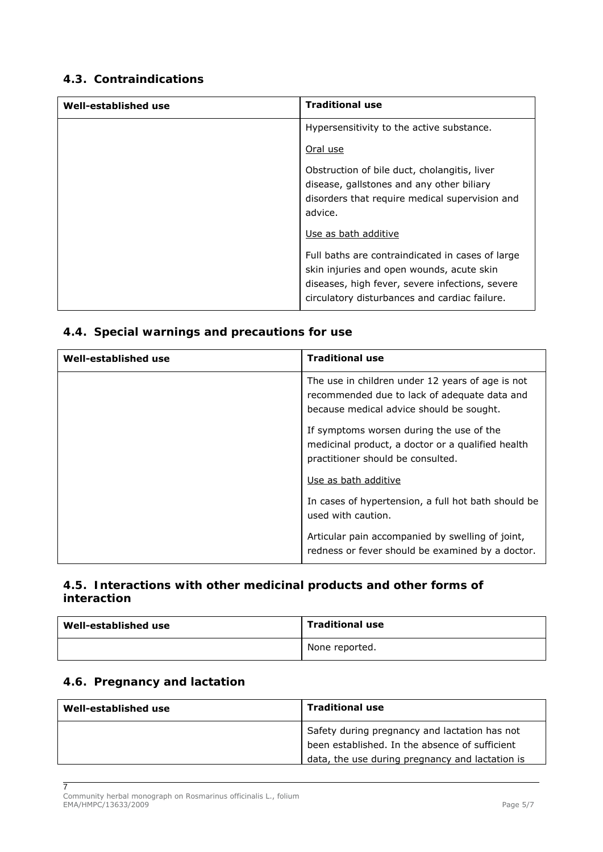### *4.3. Contraindications*

| Well-established use | <b>Traditional use</b>                                                                                                                                                                            |
|----------------------|---------------------------------------------------------------------------------------------------------------------------------------------------------------------------------------------------|
|                      | Hypersensitivity to the active substance.                                                                                                                                                         |
|                      | Oral use                                                                                                                                                                                          |
|                      | Obstruction of bile duct, cholangitis, liver<br>disease, gallstones and any other biliary<br>disorders that require medical supervision and<br>advice.                                            |
|                      | Use as bath additive                                                                                                                                                                              |
|                      | Full baths are contraindicated in cases of large<br>skin injuries and open wounds, acute skin<br>diseases, high fever, severe infections, severe<br>circulatory disturbances and cardiac failure. |

## *4.4. Special warnings and precautions for use*

| Well-established use | <b>Traditional use</b>                                                                                                                       |
|----------------------|----------------------------------------------------------------------------------------------------------------------------------------------|
|                      | The use in children under 12 years of age is not<br>recommended due to lack of adequate data and<br>because medical advice should be sought. |
|                      | If symptoms worsen during the use of the<br>medicinal product, a doctor or a qualified health<br>practitioner should be consulted.           |
|                      | Use as bath additive                                                                                                                         |
|                      | In cases of hypertension, a full hot bath should be<br>used with caution.                                                                    |
|                      | Articular pain accompanied by swelling of joint,<br>redness or fever should be examined by a doctor.                                         |

### *4.5. Interactions with other medicinal products and other forms of interaction*

| Well-established use | <b>Traditional use</b> |
|----------------------|------------------------|
|                      | None reported.         |

### *4.6. Pregnancy and lactation*

| Well-established use | <b>Traditional use</b>                                                                                                                             |
|----------------------|----------------------------------------------------------------------------------------------------------------------------------------------------|
|                      | Safety during pregnancy and lactation has not<br>been established. In the absence of sufficient<br>data, the use during pregnancy and lactation is |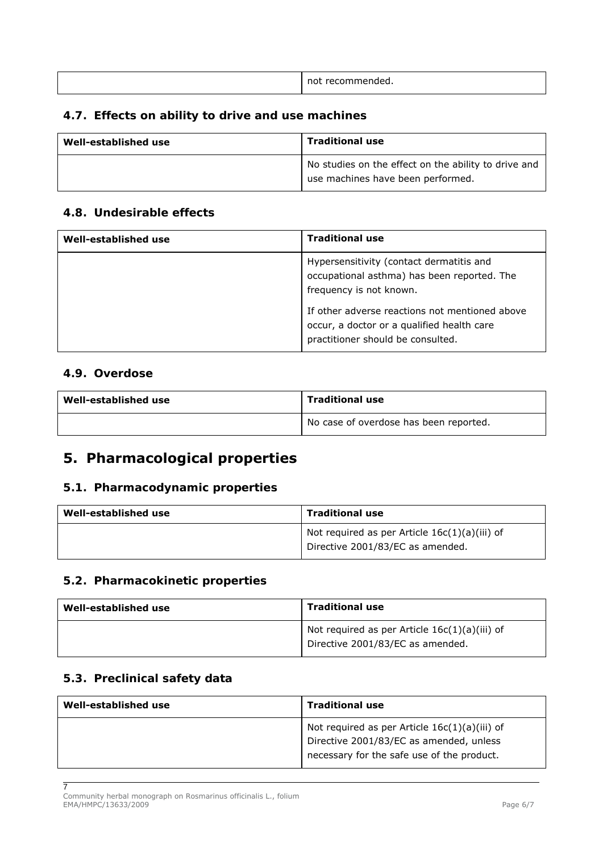| not<br>ui recom<br>mended.<br>,,,,,, |
|--------------------------------------|
|                                      |

#### *4.7. Effects on ability to drive and use machines*

| Well-established use | <b>Traditional use</b>                                                                    |
|----------------------|-------------------------------------------------------------------------------------------|
|                      | No studies on the effect on the ability to drive and<br>use machines have been performed. |

#### *4.8. Undesirable effects*

| Well-established use | <b>Traditional use</b>                                                                                                            |
|----------------------|-----------------------------------------------------------------------------------------------------------------------------------|
|                      | Hypersensitivity (contact dermatitis and<br>occupational asthma) has been reported. The<br>frequency is not known.                |
|                      | If other adverse reactions not mentioned above<br>occur, a doctor or a qualified health care<br>practitioner should be consulted. |

#### *4.9. Overdose*

| Well-established use | <b>Traditional use</b>                 |
|----------------------|----------------------------------------|
|                      | No case of overdose has been reported. |

## **5. Pharmacological properties**

#### *5.1. Pharmacodynamic properties*

| Well-established use | Traditional use                                                                     |
|----------------------|-------------------------------------------------------------------------------------|
|                      | Not required as per Article $16c(1)(a)(iii)$ of<br>Directive 2001/83/EC as amended. |

#### *5.2. Pharmacokinetic properties*

| Well-established use | Traditional use                                                                     |
|----------------------|-------------------------------------------------------------------------------------|
|                      | Not required as per Article $16c(1)(a)(iii)$ of<br>Directive 2001/83/EC as amended. |

### *5.3. Preclinical safety data*

7

| Well-established use | <b>Traditional use</b>                                                                                                                   |
|----------------------|------------------------------------------------------------------------------------------------------------------------------------------|
|                      | Not required as per Article $16c(1)(a)(iii)$ of<br>Directive 2001/83/EC as amended, unless<br>necessary for the safe use of the product. |